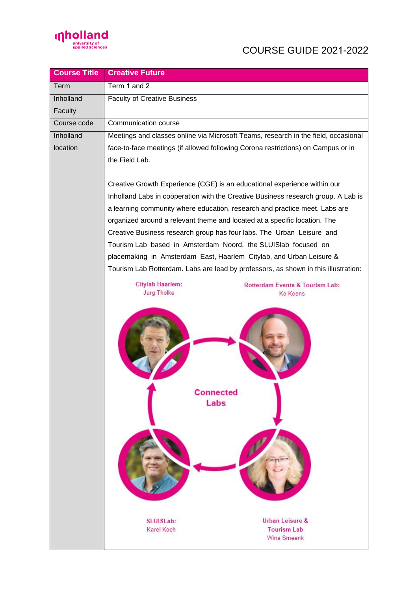

## COURSE GUIDE 2021-2022

| <b>Course Title</b> | <b>Creative Future</b>                                                                       |  |
|---------------------|----------------------------------------------------------------------------------------------|--|
| Term                | Term 1 and 2                                                                                 |  |
| Inholland           | <b>Faculty of Creative Business</b>                                                          |  |
| Faculty             |                                                                                              |  |
| Course code         | Communication course                                                                         |  |
| <b>Inholland</b>    | Meetings and classes online via Microsoft Teams, research in the field, occasional           |  |
| location            | face-to-face meetings (if allowed following Corona restrictions) on Campus or in             |  |
|                     | the Field Lab.                                                                               |  |
|                     |                                                                                              |  |
|                     | Creative Growth Experience (CGE) is an educational experience within our                     |  |
|                     | Inholland Labs in cooperation with the Creative Business research group. A Lab is            |  |
|                     | a learning community where education, research and practice meet. Labs are                   |  |
|                     | organized around a relevant theme and located at a specific location. The                    |  |
|                     | Creative Business research group has four labs. The Urban Leisure and                        |  |
|                     | Tourism Lab based in Amsterdam Noord, the SLUISlab focused on                                |  |
|                     | placemaking in Amsterdam East, Haarlem Citylab, and Urban Leisure &                          |  |
|                     | Tourism Lab Rotterdam. Labs are lead by professors, as shown in this illustration:           |  |
|                     | <b>Citylab Haarlem:</b><br>Rotterdam Events & Tourism Lab:<br><b>Jürg Thölke</b><br>Ko Koens |  |
|                     |                                                                                              |  |
|                     |                                                                                              |  |
|                     | <b>Connected</b>                                                                             |  |
|                     | Labs                                                                                         |  |
|                     |                                                                                              |  |
|                     |                                                                                              |  |
|                     |                                                                                              |  |
|                     | Urban Leisure &<br><b>SLUISLab:</b>                                                          |  |
|                     | Karel Koch<br><b>Tourism Lab</b><br>Wina Smeenk                                              |  |
|                     |                                                                                              |  |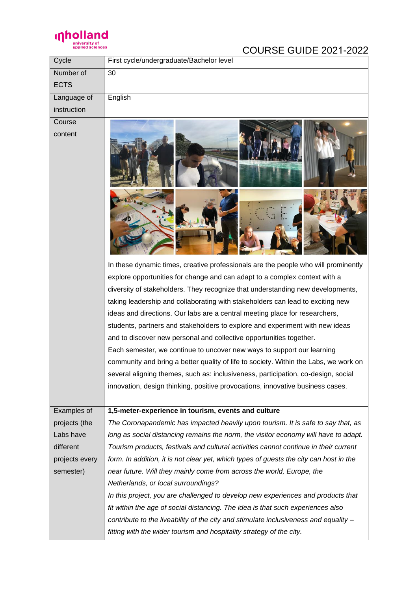

## COURSE GUIDE 2021-2022

| Cycle          | First cycle/undergraduate/Bachelor level                                                                                                                                                                                                                                                                                                                                                                                                                                                                                                                                                                                                                                                                                                                                                                                                                                                                            |
|----------------|---------------------------------------------------------------------------------------------------------------------------------------------------------------------------------------------------------------------------------------------------------------------------------------------------------------------------------------------------------------------------------------------------------------------------------------------------------------------------------------------------------------------------------------------------------------------------------------------------------------------------------------------------------------------------------------------------------------------------------------------------------------------------------------------------------------------------------------------------------------------------------------------------------------------|
| Number of      | 30                                                                                                                                                                                                                                                                                                                                                                                                                                                                                                                                                                                                                                                                                                                                                                                                                                                                                                                  |
| <b>ECTS</b>    |                                                                                                                                                                                                                                                                                                                                                                                                                                                                                                                                                                                                                                                                                                                                                                                                                                                                                                                     |
| Language of    | English                                                                                                                                                                                                                                                                                                                                                                                                                                                                                                                                                                                                                                                                                                                                                                                                                                                                                                             |
| instruction    |                                                                                                                                                                                                                                                                                                                                                                                                                                                                                                                                                                                                                                                                                                                                                                                                                                                                                                                     |
| Course         |                                                                                                                                                                                                                                                                                                                                                                                                                                                                                                                                                                                                                                                                                                                                                                                                                                                                                                                     |
| content        |                                                                                                                                                                                                                                                                                                                                                                                                                                                                                                                                                                                                                                                                                                                                                                                                                                                                                                                     |
|                | In these dynamic times, creative professionals are the people who will prominently<br>explore opportunities for change and can adapt to a complex context with a<br>diversity of stakeholders. They recognize that understanding new developments,<br>taking leadership and collaborating with stakeholders can lead to exciting new<br>ideas and directions. Our labs are a central meeting place for researchers,<br>students, partners and stakeholders to explore and experiment with new ideas<br>and to discover new personal and collective opportunities together.<br>Each semester, we continue to uncover new ways to support our learning<br>community and bring a better quality of life to society. Within the Labs, we work on<br>several aligning themes, such as: inclusiveness, participation, co-design, social<br>innovation, design thinking, positive provocations, innovative business cases. |
| Examples of    | 1,5-meter-experience in tourism, events and culture                                                                                                                                                                                                                                                                                                                                                                                                                                                                                                                                                                                                                                                                                                                                                                                                                                                                 |
| projects (the  | The Coronapandemic has impacted heavily upon tourism. It is safe to say that, as                                                                                                                                                                                                                                                                                                                                                                                                                                                                                                                                                                                                                                                                                                                                                                                                                                    |
| Labs have      | long as social distancing remains the norm, the visitor economy will have to adapt.                                                                                                                                                                                                                                                                                                                                                                                                                                                                                                                                                                                                                                                                                                                                                                                                                                 |
| different      | Tourism products, festivals and cultural activities cannot continue in their current                                                                                                                                                                                                                                                                                                                                                                                                                                                                                                                                                                                                                                                                                                                                                                                                                                |
| projects every | form. In addition, it is not clear yet, which types of guests the city can host in the                                                                                                                                                                                                                                                                                                                                                                                                                                                                                                                                                                                                                                                                                                                                                                                                                              |
| semester)      | near future. Will they mainly come from across the world, Europe, the                                                                                                                                                                                                                                                                                                                                                                                                                                                                                                                                                                                                                                                                                                                                                                                                                                               |
|                | Netherlands, or local surroundings?                                                                                                                                                                                                                                                                                                                                                                                                                                                                                                                                                                                                                                                                                                                                                                                                                                                                                 |
|                | In this project, you are challenged to develop new experiences and products that                                                                                                                                                                                                                                                                                                                                                                                                                                                                                                                                                                                                                                                                                                                                                                                                                                    |
|                | fit within the age of social distancing. The idea is that such experiences also                                                                                                                                                                                                                                                                                                                                                                                                                                                                                                                                                                                                                                                                                                                                                                                                                                     |
|                | contribute to the liveability of the city and stimulate inclusiveness and equality -                                                                                                                                                                                                                                                                                                                                                                                                                                                                                                                                                                                                                                                                                                                                                                                                                                |
|                | fitting with the wider tourism and hospitality strategy of the city.                                                                                                                                                                                                                                                                                                                                                                                                                                                                                                                                                                                                                                                                                                                                                                                                                                                |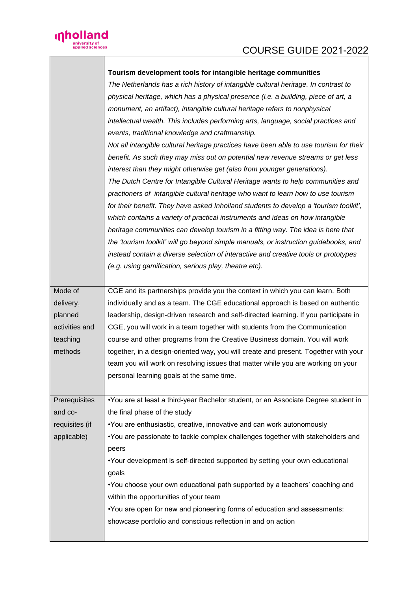

|  | inholland                         |
|--|-----------------------------------|
|  | university of<br>applied sciences |

|                | Tourism development tools for intangible heritage communities<br>The Netherlands has a rich history of intangible cultural heritage. In contrast to<br>physical heritage, which has a physical presence (i.e. a building, piece of art, a<br>monument, an artifact), intangible cultural heritage refers to nonphysical<br>intellectual wealth. This includes performing arts, language, social practices and<br>events, traditional knowledge and craftmanship.<br>Not all intangible cultural heritage practices have been able to use tourism for their<br>benefit. As such they may miss out on potential new revenue streams or get less<br>interest than they might otherwise get (also from younger generations).<br>The Dutch Centre for Intangible Cultural Heritage wants to help communities and<br>practioners of intangible cultural heritage who want to learn how to use tourism<br>for their benefit. They have asked Inholland students to develop a 'tourism toolkit',<br>which contains a variety of practical instruments and ideas on how intangible<br>heritage communities can develop tourism in a fitting way. The idea is here that<br>the 'tourism toolkit' will go beyond simple manuals, or instruction guidebooks, and<br>instead contain a diverse selection of interactive and creative tools or prototypes<br>(e.g. using gamification, serious play, theatre etc). |
|----------------|------------------------------------------------------------------------------------------------------------------------------------------------------------------------------------------------------------------------------------------------------------------------------------------------------------------------------------------------------------------------------------------------------------------------------------------------------------------------------------------------------------------------------------------------------------------------------------------------------------------------------------------------------------------------------------------------------------------------------------------------------------------------------------------------------------------------------------------------------------------------------------------------------------------------------------------------------------------------------------------------------------------------------------------------------------------------------------------------------------------------------------------------------------------------------------------------------------------------------------------------------------------------------------------------------------------------------------------------------------------------------------------------------|
| Mode of        | CGE and its partnerships provide you the context in which you can learn. Both                                                                                                                                                                                                                                                                                                                                                                                                                                                                                                                                                                                                                                                                                                                                                                                                                                                                                                                                                                                                                                                                                                                                                                                                                                                                                                                        |
| delivery,      | individually and as a team. The CGE educational approach is based on authentic                                                                                                                                                                                                                                                                                                                                                                                                                                                                                                                                                                                                                                                                                                                                                                                                                                                                                                                                                                                                                                                                                                                                                                                                                                                                                                                       |
| planned        | leadership, design-driven research and self-directed learning. If you participate in                                                                                                                                                                                                                                                                                                                                                                                                                                                                                                                                                                                                                                                                                                                                                                                                                                                                                                                                                                                                                                                                                                                                                                                                                                                                                                                 |
| activities and | CGE, you will work in a team together with students from the Communication                                                                                                                                                                                                                                                                                                                                                                                                                                                                                                                                                                                                                                                                                                                                                                                                                                                                                                                                                                                                                                                                                                                                                                                                                                                                                                                           |
| teaching       | course and other programs from the Creative Business domain. You will work                                                                                                                                                                                                                                                                                                                                                                                                                                                                                                                                                                                                                                                                                                                                                                                                                                                                                                                                                                                                                                                                                                                                                                                                                                                                                                                           |
| methods        | together, in a design-oriented way, you will create and present. Together with your                                                                                                                                                                                                                                                                                                                                                                                                                                                                                                                                                                                                                                                                                                                                                                                                                                                                                                                                                                                                                                                                                                                                                                                                                                                                                                                  |
|                | team you will work on resolving issues that matter while you are working on your                                                                                                                                                                                                                                                                                                                                                                                                                                                                                                                                                                                                                                                                                                                                                                                                                                                                                                                                                                                                                                                                                                                                                                                                                                                                                                                     |
|                | personal learning goals at the same time.                                                                                                                                                                                                                                                                                                                                                                                                                                                                                                                                                                                                                                                                                                                                                                                                                                                                                                                                                                                                                                                                                                                                                                                                                                                                                                                                                            |
| Prerequisites  | •You are at least a third-year Bachelor student, or an Associate Degree student in                                                                                                                                                                                                                                                                                                                                                                                                                                                                                                                                                                                                                                                                                                                                                                                                                                                                                                                                                                                                                                                                                                                                                                                                                                                                                                                   |
| and co-        | the final phase of the study                                                                                                                                                                                                                                                                                                                                                                                                                                                                                                                                                                                                                                                                                                                                                                                                                                                                                                                                                                                                                                                                                                                                                                                                                                                                                                                                                                         |
| requisites (if | •You are enthusiastic, creative, innovative and can work autonomously                                                                                                                                                                                                                                                                                                                                                                                                                                                                                                                                                                                                                                                                                                                                                                                                                                                                                                                                                                                                                                                                                                                                                                                                                                                                                                                                |
| applicable)    | •You are passionate to tackle complex challenges together with stakeholders and                                                                                                                                                                                                                                                                                                                                                                                                                                                                                                                                                                                                                                                                                                                                                                                                                                                                                                                                                                                                                                                                                                                                                                                                                                                                                                                      |
|                | peers                                                                                                                                                                                                                                                                                                                                                                                                                                                                                                                                                                                                                                                                                                                                                                                                                                                                                                                                                                                                                                                                                                                                                                                                                                                                                                                                                                                                |
|                | •Your development is self-directed supported by setting your own educational                                                                                                                                                                                                                                                                                                                                                                                                                                                                                                                                                                                                                                                                                                                                                                                                                                                                                                                                                                                                                                                                                                                                                                                                                                                                                                                         |
|                | goals                                                                                                                                                                                                                                                                                                                                                                                                                                                                                                                                                                                                                                                                                                                                                                                                                                                                                                                                                                                                                                                                                                                                                                                                                                                                                                                                                                                                |
|                | •You choose your own educational path supported by a teachers' coaching and                                                                                                                                                                                                                                                                                                                                                                                                                                                                                                                                                                                                                                                                                                                                                                                                                                                                                                                                                                                                                                                                                                                                                                                                                                                                                                                          |
|                | within the opportunities of your team                                                                                                                                                                                                                                                                                                                                                                                                                                                                                                                                                                                                                                                                                                                                                                                                                                                                                                                                                                                                                                                                                                                                                                                                                                                                                                                                                                |
|                | •You are open for new and pioneering forms of education and assessments:                                                                                                                                                                                                                                                                                                                                                                                                                                                                                                                                                                                                                                                                                                                                                                                                                                                                                                                                                                                                                                                                                                                                                                                                                                                                                                                             |
|                | showcase portfolio and conscious reflection in and on action                                                                                                                                                                                                                                                                                                                                                                                                                                                                                                                                                                                                                                                                                                                                                                                                                                                                                                                                                                                                                                                                                                                                                                                                                                                                                                                                         |
|                |                                                                                                                                                                                                                                                                                                                                                                                                                                                                                                                                                                                                                                                                                                                                                                                                                                                                                                                                                                                                                                                                                                                                                                                                                                                                                                                                                                                                      |